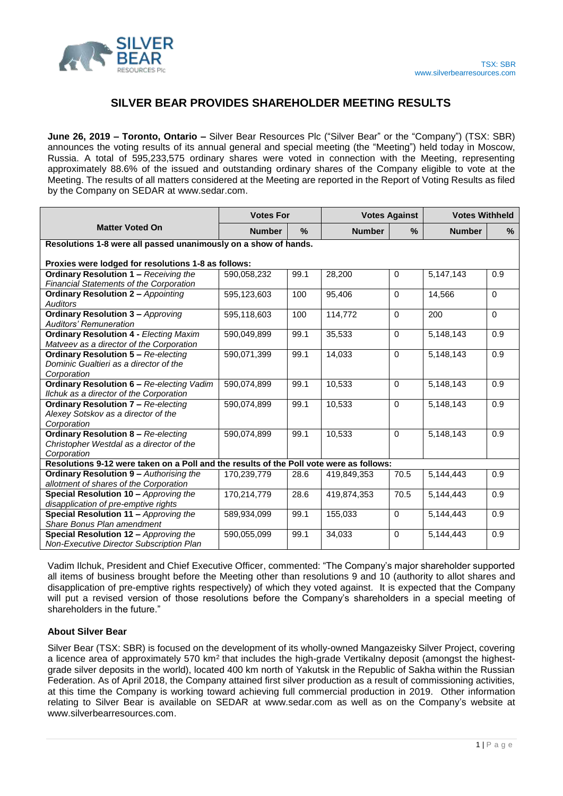

## **SILVER BEAR PROVIDES SHAREHOLDER MEETING RESULTS**

**June 26, 2019 – Toronto, Ontario –** Silver Bear Resources Plc ("Silver Bear" or the "Company") (TSX: SBR) announces the voting results of its annual general and special meeting (the "Meeting") held today in Moscow, Russia. A total of 595,233,575 ordinary shares were voted in connection with the Meeting, representing approximately 88.6% of the issued and outstanding ordinary shares of the Company eligible to vote at the Meeting. The results of all matters considered at the Meeting are reported in the Report of Voting Results as filed by the Company on SEDAR at www.sedar.com.

|                                                                                         | <b>Votes For</b> |               | <b>Votes Against</b> |             | <b>Votes Withheld</b> |                  |
|-----------------------------------------------------------------------------------------|------------------|---------------|----------------------|-------------|-----------------------|------------------|
| <b>Matter Voted On</b>                                                                  | <b>Number</b>    | $\frac{9}{6}$ | <b>Number</b>        | %           | <b>Number</b>         | %                |
| Resolutions 1-8 were all passed unanimously on a show of hands.                         |                  |               |                      |             |                       |                  |
| Proxies were lodged for resolutions 1-8 as follows:                                     |                  |               |                      |             |                       |                  |
| Ordinary Resolution 1 - Receiving the                                                   | 590,058,232      | 99.1          | 28,200               | $\mathbf 0$ | 5,147,143             | 0.9              |
| <b>Financial Statements of the Corporation</b>                                          |                  |               |                      |             |                       |                  |
| <b>Ordinary Resolution 2 - Appointing</b>                                               | 595,123,603      | 100           | 95,406               | $\Omega$    | 14,566                | $\Omega$         |
| Auditors                                                                                |                  |               |                      |             |                       |                  |
| <b>Ordinary Resolution 3 - Approving</b>                                                | 595,118,603      | 100           | 114,772              | $\Omega$    | 200                   | $\Omega$         |
| <b>Auditors' Remuneration</b>                                                           |                  |               |                      |             |                       |                  |
| <b>Ordinary Resolution 4 - Electing Maxim</b>                                           | 590,049,899      | 99.1          | 35,533               | $\Omega$    | 5,148,143             | 0.9              |
| Matveev as a director of the Corporation                                                |                  |               |                      |             |                       |                  |
| <b>Ordinary Resolution 5 - Re-electing</b>                                              | 590,071,399      | 99.1          | 14,033               | $\Omega$    | 5,148,143             | 0.9              |
| Dominic Gualtieri as a director of the                                                  |                  |               |                      |             |                       |                  |
| Corporation                                                                             |                  |               |                      |             |                       |                  |
| <b>Ordinary Resolution 6 - Re-electing Vadim</b>                                        | 590,074,899      | 99.1          | 10,533               | $\Omega$    | 5,148,143             | $\overline{0.9}$ |
| Ilchuk as a director of the Corporation                                                 |                  |               |                      |             |                       |                  |
| <b>Ordinary Resolution 7 - Re-electing</b>                                              | 590,074,899      | 99.1          | 10,533               | $\Omega$    | 5,148,143             | 0.9              |
| Alexey Sotskov as a director of the                                                     |                  |               |                      |             |                       |                  |
| Corporation                                                                             |                  |               |                      |             |                       |                  |
| <b>Ordinary Resolution 8 - Re-electing</b>                                              | 590,074,899      | 99.1          | 10,533               | $\Omega$    | 5,148,143             | 0.9              |
| Christopher Westdal as a director of the                                                |                  |               |                      |             |                       |                  |
| Corporation                                                                             |                  |               |                      |             |                       |                  |
| Resolutions 9-12 were taken on a Poll and the results of the Poll vote were as follows: |                  |               |                      |             |                       |                  |
| <b>Ordinary Resolution 9 - Authorising the</b>                                          | 170,239,779      | 28.6          | 419,849,353          | 70.5        | 5,144,443             | 0.9              |
| allotment of shares of the Corporation                                                  |                  |               |                      |             |                       |                  |
| Special Resolution 10 - Approving the                                                   | 170,214,779      | 28.6          | 419,874,353          | 70.5        | 5,144,443             | $\overline{0.9}$ |
| disapplication of pre-emptive rights                                                    |                  |               |                      |             |                       |                  |
| Special Resolution 11 - Approving the                                                   | 589,934,099      | 99.1          | 155,033              | $\Omega$    | 5,144,443             | 0.9              |
| Share Bonus Plan amendment                                                              |                  |               |                      |             |                       |                  |
| Special Resolution 12 - Approving the                                                   | 590,055,099      | 99.1          | 34,033               | $\Omega$    | 5,144,443             | 0.9              |
| Non-Executive Director Subscription Plan                                                |                  |               |                      |             |                       |                  |

Vadim Ilchuk, President and Chief Executive Officer, commented: "The Company's major shareholder supported all items of business brought before the Meeting other than resolutions 9 and 10 (authority to allot shares and disapplication of pre-emptive rights respectively) of which they voted against. It is expected that the Company will put a revised version of those resolutions before the Company's shareholders in a special meeting of shareholders in the future."

## **About Silver Bear**

Silver Bear (TSX: SBR) is focused on the development of its wholly-owned Mangazeisky Silver Project, covering a licence area of approximately 570 km<sup>2</sup> that includes the high-grade Vertikalny deposit (amongst the highestgrade silver deposits in the world), located 400 km north of Yakutsk in the Republic of Sakha within the Russian Federation. As of April 2018, the Company attained first silver production as a result of commissioning activities, at this time the Company is working toward achieving full commercial production in 2019. Other information relating to Silver Bear is available on SEDAR at www.sedar.com as well as on the Company's website at www.silverbearresources.com.